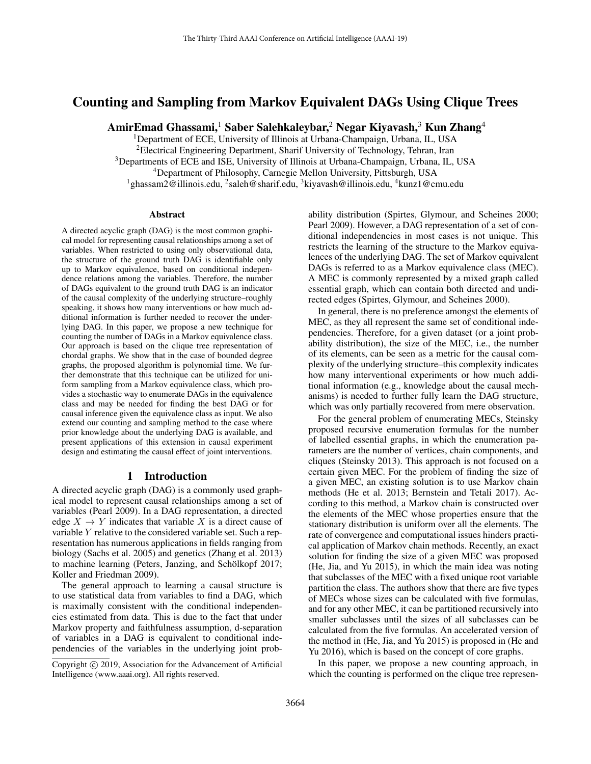# Counting and Sampling from Markov Equivalent DAGs Using Clique Trees

AmirEmad Ghassami,<sup>1</sup> Saber Salehkaleybar,<sup>2</sup> Negar Kiyavash,<sup>3</sup> Kun Zhang<sup>4</sup>

<sup>1</sup>Department of ECE, University of Illinois at Urbana-Champaign, Urbana, IL, USA <sup>2</sup>Electrical Engineering Department, Sharif University of Technology, Tehran, Iran <sup>3</sup>Departments of ECE and ISE, University of Illinois at Urbana-Champaign, Urbana, IL, USA <sup>4</sup>Department of Philosophy, Carnegie Mellon University, Pittsburgh, USA <sup>1</sup>ghassam2@illinois.edu, <sup>2</sup>saleh@sharif.edu, <sup>3</sup>kiyavash@illinois.edu, <sup>4</sup>kunz1@cmu.edu

### **Abstract**

A directed acyclic graph (DAG) is the most common graphical model for representing causal relationships among a set of variables. When restricted to using only observational data, the structure of the ground truth DAG is identifiable only up to Markov equivalence, based on conditional independence relations among the variables. Therefore, the number of DAGs equivalent to the ground truth DAG is an indicator of the causal complexity of the underlying structure–roughly speaking, it shows how many interventions or how much additional information is further needed to recover the underlying DAG. In this paper, we propose a new technique for counting the number of DAGs in a Markov equivalence class. Our approach is based on the clique tree representation of chordal graphs. We show that in the case of bounded degree graphs, the proposed algorithm is polynomial time. We further demonstrate that this technique can be utilized for uniform sampling from a Markov equivalence class, which provides a stochastic way to enumerate DAGs in the equivalence class and may be needed for finding the best DAG or for causal inference given the equivalence class as input. We also extend our counting and sampling method to the case where prior knowledge about the underlying DAG is available, and present applications of this extension in causal experiment design and estimating the causal effect of joint interventions.

## 1 Introduction

A directed acyclic graph (DAG) is a commonly used graphical model to represent causal relationships among a set of variables (Pearl 2009). In a DAG representation, a directed edge  $X \to Y$  indicates that variable X is a direct cause of variable Y relative to the considered variable set. Such a representation has numerous applications in fields ranging from biology (Sachs et al. 2005) and genetics (Zhang et al. 2013) to machine learning (Peters, Janzing, and Schölkopf 2017; Koller and Friedman 2009).

The general approach to learning a causal structure is to use statistical data from variables to find a DAG, which is maximally consistent with the conditional independencies estimated from data. This is due to the fact that under Markov property and faithfulness assumption, d-separation of variables in a DAG is equivalent to conditional independencies of the variables in the underlying joint probability distribution (Spirtes, Glymour, and Scheines 2000; Pearl 2009). However, a DAG representation of a set of conditional independencies in most cases is not unique. This restricts the learning of the structure to the Markov equivalences of the underlying DAG. The set of Markov equivalent DAGs is referred to as a Markov equivalence class (MEC). A MEC is commonly represented by a mixed graph called essential graph, which can contain both directed and undirected edges (Spirtes, Glymour, and Scheines 2000).

In general, there is no preference amongst the elements of MEC, as they all represent the same set of conditional independencies. Therefore, for a given dataset (or a joint probability distribution), the size of the MEC, i.e., the number of its elements, can be seen as a metric for the causal complexity of the underlying structure–this complexity indicates how many interventional experiments or how much additional information (e.g., knowledge about the causal mechanisms) is needed to further fully learn the DAG structure, which was only partially recovered from mere observation.

For the general problem of enumerating MECs, Steinsky proposed recursive enumeration formulas for the number of labelled essential graphs, in which the enumeration parameters are the number of vertices, chain components, and cliques (Steinsky 2013). This approach is not focused on a certain given MEC. For the problem of finding the size of a given MEC, an existing solution is to use Markov chain methods (He et al. 2013; Bernstein and Tetali 2017). According to this method, a Markov chain is constructed over the elements of the MEC whose properties ensure that the stationary distribution is uniform over all the elements. The rate of convergence and computational issues hinders practical application of Markov chain methods. Recently, an exact solution for finding the size of a given MEC was proposed (He, Jia, and Yu 2015), in which the main idea was noting that subclasses of the MEC with a fixed unique root variable partition the class. The authors show that there are five types of MECs whose sizes can be calculated with five formulas, and for any other MEC, it can be partitioned recursively into smaller subclasses until the sizes of all subclasses can be calculated from the five formulas. An accelerated version of the method in (He, Jia, and Yu 2015) is proposed in (He and Yu 2016), which is based on the concept of core graphs.

In this paper, we propose a new counting approach, in which the counting is performed on the clique tree represen-

Copyright (c) 2019, Association for the Advancement of Artificial Intelligence (www.aaai.org). All rights reserved.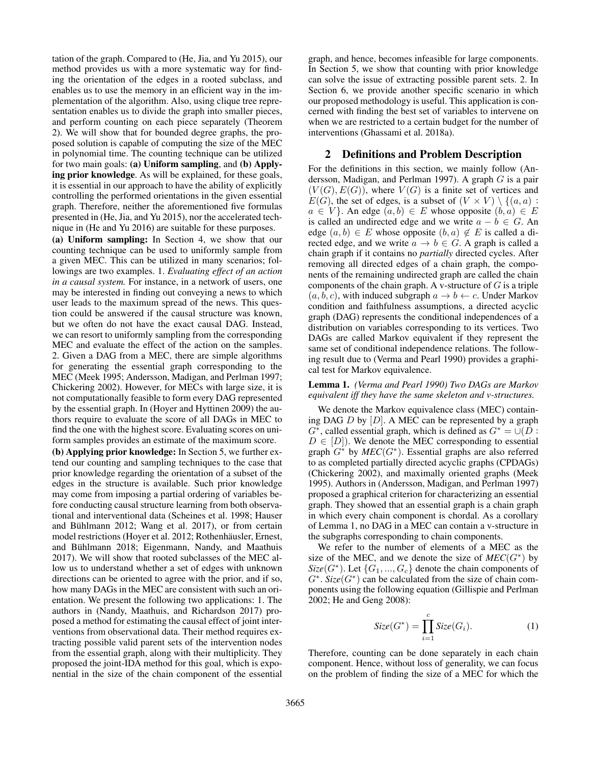tation of the graph. Compared to (He, Jia, and Yu 2015), our method provides us with a more systematic way for finding the orientation of the edges in a rooted subclass, and enables us to use the memory in an efficient way in the implementation of the algorithm. Also, using clique tree representation enables us to divide the graph into smaller pieces, and perform counting on each piece separately (Theorem 2). We will show that for bounded degree graphs, the proposed solution is capable of computing the size of the MEC in polynomial time. The counting technique can be utilized for two main goals: (a) Uniform sampling, and (b) Applying prior knowledge. As will be explained, for these goals, it is essential in our approach to have the ability of explicitly controlling the performed orientations in the given essential graph. Therefore, neither the aforementioned five formulas presented in (He, Jia, and Yu 2015), nor the accelerated technique in (He and Yu 2016) are suitable for these purposes.

(a) Uniform sampling: In Section 4, we show that our counting technique can be used to uniformly sample from a given MEC. This can be utilized in many scenarios; followings are two examples. 1. *Evaluating effect of an action in a causal system.* For instance, in a network of users, one may be interested in finding out conveying a news to which user leads to the maximum spread of the news. This question could be answered if the causal structure was known, but we often do not have the exact causal DAG. Instead, we can resort to uniformly sampling from the corresponding MEC and evaluate the effect of the action on the samples. 2. Given a DAG from a MEC, there are simple algorithms for generating the essential graph corresponding to the MEC (Meek 1995; Andersson, Madigan, and Perlman 1997; Chickering 2002). However, for MECs with large size, it is not computationally feasible to form every DAG represented by the essential graph. In (Hoyer and Hyttinen 2009) the authors require to evaluate the score of all DAGs in MEC to find the one with the highest score. Evaluating scores on uniform samples provides an estimate of the maximum score.

(b) Applying prior knowledge: In Section 5, we further extend our counting and sampling techniques to the case that prior knowledge regarding the orientation of a subset of the edges in the structure is available. Such prior knowledge may come from imposing a partial ordering of variables before conducting causal structure learning from both observational and interventional data (Scheines et al. 1998; Hauser and Bühlmann 2012; Wang et al. 2017), or from certain model restrictions (Hoyer et al. 2012; Rothenhäusler, Ernest, and Bühlmann 2018; Eigenmann, Nandy, and Maathuis 2017). We will show that rooted subclasses of the MEC allow us to understand whether a set of edges with unknown directions can be oriented to agree with the prior, and if so, how many DAGs in the MEC are consistent with such an orientation. We present the following two applications: 1. The authors in (Nandy, Maathuis, and Richardson 2017) proposed a method for estimating the causal effect of joint interventions from observational data. Their method requires extracting possible valid parent sets of the intervention nodes from the essential graph, along with their multiplicity. They proposed the joint-IDA method for this goal, which is exponential in the size of the chain component of the essential

graph, and hence, becomes infeasible for large components. In Section 5, we show that counting with prior knowledge can solve the issue of extracting possible parent sets. 2. In Section 6, we provide another specific scenario in which our proposed methodology is useful. This application is concerned with finding the best set of variables to intervene on when we are restricted to a certain budget for the number of interventions (Ghassami et al. 2018a).

### 2 Definitions and Problem Description

For the definitions in this section, we mainly follow (Andersson, Madigan, and Perlman 1997). A graph G is a pair  $(V(G), E(G))$ , where  $V(G)$  is a finite set of vertices and  $E(G)$ , the set of edges, is a subset of  $(V \times V) \setminus \{(a, a) :$  $a \in V$ . An edge  $(a, b) \in E$  whose opposite  $(b, a) \in E$ is called an undirected edge and we write  $a - b \in G$ . An edge  $(a, b) \in E$  whose opposite  $(b, a) \notin E$  is called a directed edge, and we write  $a \to b \in G$ . A graph is called a chain graph if it contains no *partially* directed cycles. After removing all directed edges of a chain graph, the components of the remaining undirected graph are called the chain components of the chain graph. A v-structure of  $G$  is a triple  $(a, b, c)$ , with induced subgraph  $a \rightarrow b \leftarrow c$ . Under Markov condition and faithfulness assumptions, a directed acyclic graph (DAG) represents the conditional independences of a distribution on variables corresponding to its vertices. Two DAGs are called Markov equivalent if they represent the same set of conditional independence relations. The following result due to (Verma and Pearl 1990) provides a graphical test for Markov equivalence.

### Lemma 1. *(Verma and Pearl 1990) Two DAGs are Markov equivalent iff they have the same skeleton and v-structures.*

We denote the Markov equivalence class (MEC) containing DAG  $D$  by  $[D]$ . A MEC can be represented by a graph  $G^*$ , called essential graph, which is defined as  $G^* = \cup(\overline{D} :$  $D \in [D]$ . We denote the MEC corresponding to essential graph  $G^*$  by  $MEC(G^*)$ . Essential graphs are also referred to as completed partially directed acyclic graphs (CPDAGs) (Chickering 2002), and maximally oriented graphs (Meek 1995). Authors in (Andersson, Madigan, and Perlman 1997) proposed a graphical criterion for characterizing an essential graph. They showed that an essential graph is a chain graph in which every chain component is chordal. As a corollary of Lemma 1, no DAG in a MEC can contain a v-structure in the subgraphs corresponding to chain components.

We refer to the number of elements of a MEC as the size of the MEC, and we denote the size of  $MEC(G^*)$  by  $Size(G^*)$ . Let  $\{G_1, ..., G_c\}$  denote the chain components of  $G^*$ .  $Size(G^*)$  can be calculated from the size of chain components using the following equation (Gillispie and Perlman 2002; He and Geng 2008):

$$
Size(G^*) = \prod_{i=1}^{c} Size(G_i). \tag{1}
$$

Therefore, counting can be done separately in each chain component. Hence, without loss of generality, we can focus on the problem of finding the size of a MEC for which the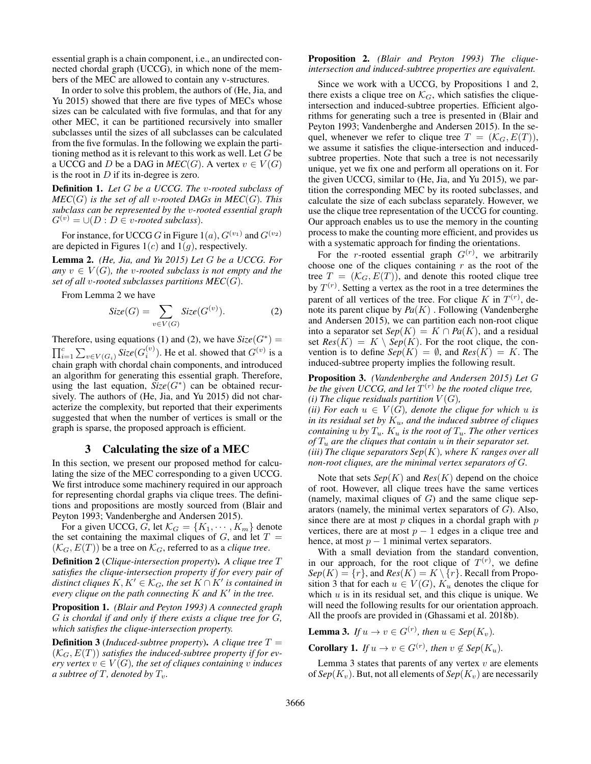essential graph is a chain component, i.e., an undirected connected chordal graph (UCCG), in which none of the members of the MEC are allowed to contain any v-structures.

In order to solve this problem, the authors of (He, Jia, and Yu 2015) showed that there are five types of MECs whose sizes can be calculated with five formulas, and that for any other MEC, it can be partitioned recursively into smaller subclasses until the sizes of all subclasses can be calculated from the five formulas. In the following we explain the partitioning method as it is relevant to this work as well. Let G be a UCCG and D be a DAG in  $MEC(G)$ . A vertex  $v \in V(G)$ is the root in  $D$  if its in-degree is zero.

Definition 1. *Let* G *be a UCCG. The* v*-rooted subclass of*  $MEC(G)$  *is the set of all v-rooted DAGs in MEC(G). This subclass can be represented by the* v*-rooted essential graph*  $G^{(v)} = \bigcup (D : D \in v\text{-}rooted subclass).$ 

For instance, for UCCG G in Figure  $1(a)$ ,  $G^{(v_1)}$  and  $G^{(v_2)}$ are depicted in Figures  $1(c)$  and  $1(q)$ , respectively.

Lemma 2. *(He, Jia, and Yu 2015) Let* G *be a UCCG. For* any  $v \in V(G)$ *, the v-rooted subclass is not empty and the set of all* v*-rooted subclasses partitions MEC*(G)*.*

From Lemma 2 we have

$$
Size(G) = \sum_{v \in V(G)} Size(G^{(v)}).
$$
 (2)

Therefore, using equations (1) and (2), we have  $Size(G^*)$  =  $\prod_{i=1}^{c} \sum_{v \in V(G_i)}$  *Size*( $G_i^{(v)}$ ). He et al. showed that  $G^{(v)}$  is a chain graph with chordal chain components, and introduced an algorithm for generating this essential graph. Therefore, using the last equation,  $\text{Size}(G^*)$  can be obtained recursively. The authors of (He, Jia, and Yu 2015) did not characterize the complexity, but reported that their experiments suggested that when the number of vertices is small or the graph is sparse, the proposed approach is efficient.

## 3 Calculating the size of a MEC

In this section, we present our proposed method for calculating the size of the MEC corresponding to a given UCCG. We first introduce some machinery required in our approach for representing chordal graphs via clique trees. The definitions and propositions are mostly sourced from (Blair and Peyton 1993; Vandenberghe and Andersen 2015).

For a given UCCG, G, let  $\mathcal{K}_G = \{K_1, \dots, K_m\}$  denote the set containing the maximal cliques of  $G$ , and let  $T =$  $(\mathcal{K}_G, E(T))$  be a tree on  $\mathcal{K}_G$ , referred to as a *clique tree*.

Definition 2 (*Clique-intersection property*). *A clique tree* T *satisfies the clique-intersection property if for every pair of* distinct cliques  $K, K' \in \mathcal{K}_G$ , the set  $K \cap K'$  is contained in every clique on the path connecting  $K$  and  $K'$  in the tree.

Proposition 1. *(Blair and Peyton 1993) A connected graph* G *is chordal if and only if there exists a clique tree for* G*, which satisfies the clique-intersection property.*

**Definition 3** (*Induced-subtree property*). A clique tree  $T =$  $(\mathcal{K}_G, E(T))$  *satisfies the induced-subtree property if for every vertex*  $v \in V(G)$ *, the set of cliques containing v induces a subtree of*  $T$ *, denoted by*  $T_v$ *.* 

## Proposition 2. *(Blair and Peyton 1993) The cliqueintersection and induced-subtree properties are equivalent.*

Since we work with a UCCG, by Propositions 1 and 2, there exists a clique tree on  $\mathcal{K}_G$ , which satisfies the cliqueintersection and induced-subtree properties. Efficient algorithms for generating such a tree is presented in (Blair and Peyton 1993; Vandenberghe and Andersen 2015). In the sequel, whenever we refer to clique tree  $T = (\mathcal{K}_G, E(T))$ , we assume it satisfies the clique-intersection and inducedsubtree properties. Note that such a tree is not necessarily unique, yet we fix one and perform all operations on it. For the given UCCG, similar to (He, Jia, and Yu 2015), we partition the corresponding MEC by its rooted subclasses, and calculate the size of each subclass separately. However, we use the clique tree representation of the UCCG for counting. Our approach enables us to use the memory in the counting process to make the counting more efficient, and provides us with a systematic approach for finding the orientations.

For the *r*-rooted essential graph  $G^{(r)}$ , we arbitrarily choose one of the cliques containing  $r$  as the root of the tree  $T = (\mathcal{K}_G, E(T))$ , and denote this rooted clique tree by  $T^{(r)}$ . Setting a vertex as the root in a tree determines the parent of all vertices of the tree. For clique K in  $T^{(r)}$ , denote its parent clique by  $Pa(K)$ . Following (Vandenberghe and Andersen 2015), we can partition each non-root clique into a separator set  $Sep(K) = K \cap Pa(K)$ , and a residual set  $Res(K) = K \setminus Sep(K)$ . For the root clique, the convention is to define  $Sep(K) = \emptyset$ , and  $Res(K) = K$ . The induced-subtree property implies the following result.

Proposition 3. *(Vandenberghe and Andersen 2015) Let* G *be the given UCCG, and let*  $T^{(r)}$  *be the rooted clique tree, (i) The clique residuals partition*  $V(G)$ ,

*(ii) For each*  $u \in V(G)$ *, denote the clique for which* u *is in its residual set by*  $K_u$ *, and the induced subtree of cliques containing*  $u$  *by*  $T_u$ *.*  $K_u$  *is the root of*  $T_u$ *. The other vertices of* T<sup>u</sup> *are the cliques that contain* u *in their separator set. (iii) The clique separators Sep*(K)*, where* K *ranges over all non-root cliques, are the minimal vertex separators of* G*.*

Note that sets  $Sep(K)$  and  $Res(K)$  depend on the choice of root. However, all clique trees have the same vertices (namely, maximal cliques of  $G$ ) and the same clique separators (namely, the minimal vertex separators of  $G$ ). Also, since there are at most  $p$  cliques in a chordal graph with  $p$ vertices, there are at most  $p - 1$  edges in a clique tree and hence, at most  $p - 1$  minimal vertex separators.

With a small deviation from the standard convention, in our approach, for the root clique of  $T^{(r)}$ , we define  $Sep(K) = \{r\}$ , and  $Res(K) = K \setminus \{r\}$ . Recall from Proposition 3 that for each  $u \in V(G)$ ,  $K_u$  denotes the clique for which  $u$  is in its residual set, and this clique is unique. We will need the following results for our orientation approach. All the proofs are provided in (Ghassami et al. 2018b).

**Lemma 3.** *If*  $u \to v \in G^{(r)}$ , then  $u \in \text{Sep}(K_v)$ .

**Corollary 1.** *If*  $u \to v \in G^{(r)}$ *, then*  $v \notin \text{Sep}(K_u)$ *.* 

Lemma 3 states that parents of any vertex  $v$  are elements of  $Sep(K_v)$ . But, not all elements of  $Sep(K_v)$  are necessarily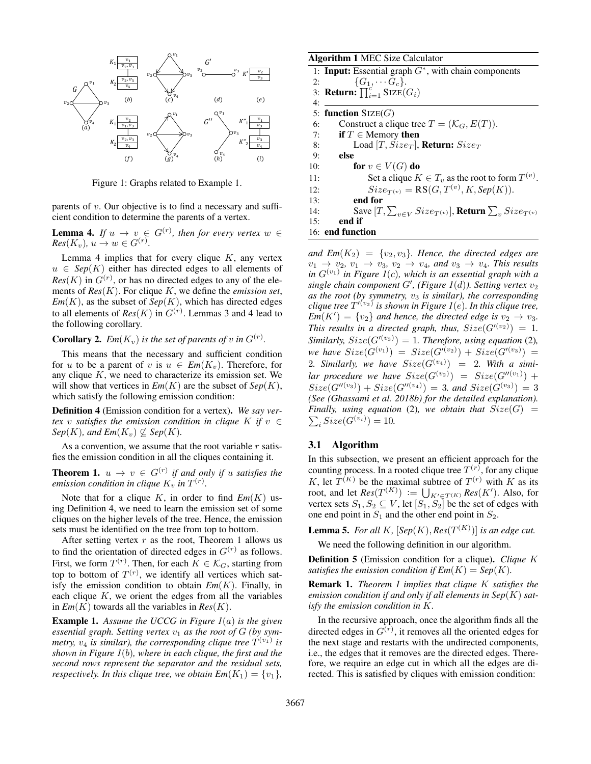

Figure 1: Graphs related to Example 1.

parents of  $v$ . Our objective is to find a necessary and sufficient condition to determine the parents of a vertex.

**Lemma 4.** If  $u \to v \in G^{(r)}$ , then for every vertex  $w \in G$  $Res(K_v), u \to w \in G^{(r)}.$ 

Lemma 4 implies that for every clique  $K$ , any vertex  $u \in Sep(K)$  either has directed edges to all elements of  $Res(K)$  in  $G^{(r)}$ , or has no directed edges to any of the elements of *Res*(K). For clique K, we define the *emission set*,  $Em(K)$ , as the subset of  $Sep(K)$ , which has directed edges to all elements of  $Res(K)$  in  $G^{(r)}$ . Lemmas 3 and 4 lead to the following corollary.

**Corollary 2.**  $Em(K_v)$  is the set of parents of v in  $G^{(r)}$ .

This means that the necessary and sufficient condition for u to be a parent of v is  $u \in Em(K_v)$ . Therefore, for any clique  $K$ , we need to characterize its emission set. We will show that vertices in  $Em(K)$  are the subset of  $Sep(K)$ , which satisfy the following emission condition:

Definition 4 (Emission condition for a vertex). *We say vertex* v *satisfies the emission condition in clique* K *if*  $v \in$  $Sep(K)$ *, and*  $Em(K_v) \nsubseteq Sep(K)$ *.* 

As a convention, we assume that the root variable  $r$  satisfies the emission condition in all the cliques containing it.

**Theorem 1.**  $u \to v \in G^{(r)}$  if and only if u satisfies the *emission condition in clique*  $K_v$  *in*  $T^{(r)}$ *.* 

Note that for a clique  $K$ , in order to find  $Em(K)$  using Definition 4, we need to learn the emission set of some cliques on the higher levels of the tree. Hence, the emission sets must be identified on the tree from top to bottom.

After setting vertex  $r$  as the root, Theorem 1 allows us to find the orientation of directed edges in  $G^{(r)}$  as follows. First, we form  $T^{(r)}$ . Then, for each  $K \in \mathcal{K}_G$ , starting from top to bottom of  $T^{(r)}$ , we identify all vertices which satisfy the emission condition to obtain  $Em(K)$ . Finally, in each clique  $K$ , we orient the edges from all the variables in  $Em(K)$  towards all the variables in  $Res(K)$ .

Example 1. *Assume the UCCG in Figure 1*(a) *is the given* essential graph. Setting vertex  $v_1$  as the root of G (by symmetry,  $v_4$  is similar), the corresponding clique tree  $T^{(v_1)}$  is *shown in Figure 1*(b)*, where in each clique, the first and the second rows represent the separator and the residual sets, respectively. In this clique tree, we obtain*  $Em(K_1) = \{v_1\}$ ,

#### Algorithm 1 MEC Size Calculator

1: Input: Essential graph G<sup>∗</sup> , with chain components 2:  $\{G_1, \cdots G_c\}.$ 

3: **Return:**  $\prod_{i=1}^{c}$  SIZE( $G_i$ ) 4:

5: function  $\text{SIZE}(G)$ 

6: Construct a clique tree  $T = (\mathcal{K}_G, E(T))$ .

7: if  $T \in$  Memory then

8: Load  $[T, Size_T]$ , Return:  $Size_T$ 

9: else 10: **for**  $v \in V(G)$  do

11: Set a clique  $K \in T_v$  as the root to form  $T^{(v)}$ .

12:  $Size_{T^{(v)}} = \text{RS}(G, T^{(v)}, K, Sep(K)).$ 

13: end for

14: Save  $[T, \sum_{v \in V} Size_{T(v)}]$ , Return  $\sum_{v} Size_{T(v)}$ 

15: end if

16: end function

and  $Em(K_2) = \{v_2, v_3\}$ . Hence, the directed edges are  $v_1 \rightarrow v_2, v_1 \rightarrow v_3, v_2 \rightarrow v_4, and v_3 \rightarrow v_4$ . This results in  $G^{(v_1)}$  in Figure 1(c), which is an essential graph with a  $single$  chain component  $G'$ , (Figure 1(d)). Setting vertex  $v_2$ as the root (by symmetry,  $v_3$  *is similar), the corresponding*  $clique$  tree  $T'^{(v_{2})}$  is shown in Figure 1(e). In this clique tree,  $\mathbb{E}m(K') = \{v_2\}$  and hence, the directed edge is  $v_2 \to v_3$ . *This results in a directed graph, thus,*  $Size(G'^{(v_2)}) = 1$ *. Similarly,*  $Size(G'^{(v_3)}) = 1$ *. Therefore, using equation* (2)*,*  $we \; have \; Size(G^{(v_1)}) \; = \; Size(G'^{(v_2)}) \, + \, Size(G'^{(v_3)}) \; =$ 2. Similarly, we have  $Size(G^{(v_4)}) = 2$ . With a similar procedure we have  $Size(G^{(v_2)}) = Size(G''^{(v_1)}) +$  $Size(G''^{(v_3)}) + Size(G''^{(v_4)}) = 3$ . and  $Size(G^{(v_3)}) = 3$ *(See (Ghassami et al. 2018b) for the detailed explanation). Finally, using equation* (2), we obtain that  $Size(G)$  =  $\sum_{i} Size(G^{(v_i)}) = 10.$ 

# 3.1 Algorithm

In this subsection, we present an efficient approach for the counting process. In a rooted clique tree  $T^{(r)}$ , for any clique K, let  $T^{(K)}$  be the maximal subtree of  $T^{(r)}$  with K as its root, and let  $Res(T^{(K)}) := \bigcup_{K' \in T^{(K)}} Res(K')$ . Also, for vertex sets  $S_1, S_2 \subseteq V$ , let  $[S_1, S_2]$  be the set of edges with one end point in  $S_1$  and the other end point in  $S_2$ .

**Lemma 5.** For all K,  $[Sep(K),Res(T^{(K)})]$  is an edge cut.

We need the following definition in our algorithm.

Definition 5 (Emission condition for a clique). *Clique* K *satisfies the emission condition if*  $\mathbf{Em}(K) = \mathbf{Sep}(K)$ .

Remark 1. *Theorem 1 implies that clique* K *satisfies the emission condition if and only if all elements in Sep*(K) *satisfy the emission condition in* K*.*

In the recursive approach, once the algorithm finds all the directed edges in  $G^{(r)}$ , it removes all the oriented edges for the next stage and restarts with the undirected components, i.e., the edges that it removes are the directed edges. Therefore, we require an edge cut in which all the edges are directed. This is satisfied by cliques with emission condition: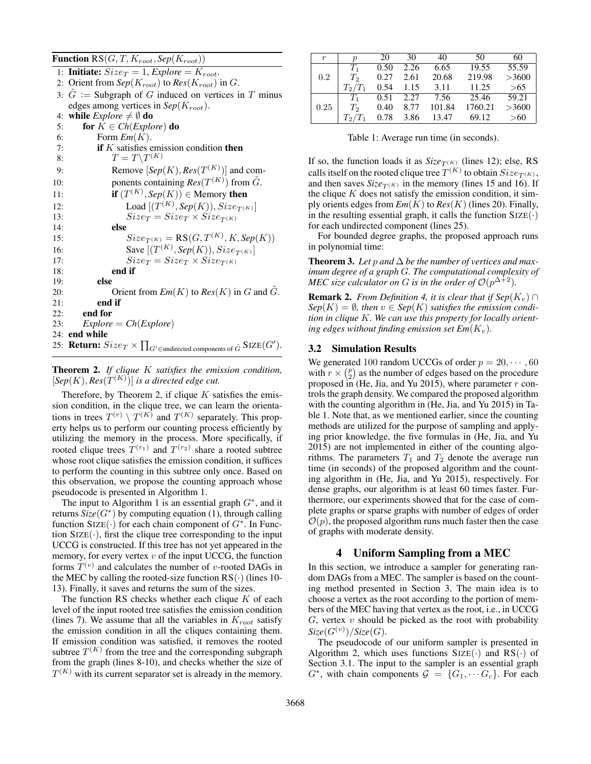**Function**  $RS(G, T, K_{root}, Sep(K_{root}))$ 

1: **Initiate:**  $Size_T = 1$ ,  $Explore = K_{root}$ . 2: Orient from  $Sep(K_{root})$  to  $Res(K_{root})$  in G. 3:  $\tilde{G}$  := Subgraph of G induced on vertices in T minus edges among vertices in  $Sep(K_{root})$ . 4: **while** *Explore*  $\neq \emptyset$  **do** 5: **for**  $K \in Ch(Explore)$  **do** 6: Form  $Em(K)$ . 7: **if** K satisfies emission condition **then** 8:  $T = T\backslash T^{(K)}$ 9: Remove  $[Sep(K),Res(T^{(K)})]$  and com-10: ponents containing  $Res(T^{(K)})$  from  $\tilde{G}$ . 11: **if**  $(T^{(K)}, \text{Sep}(K)) \in$  Memory then 12: Load  $[(T^{(K)}, \text{Sep}(K)), \text{Size}_{T^{(K)}}]$ 13:  $Size_T = Size_T \times Size_{T(K)}$ <br>14: **else** else 15:  $Size_{T(K)} = RS(G, T^{(K)}, K, Sep(K))$ 16: **Save**  $[(T^{(K)}, \text{Sep}(K)), \text{Size}_{T^{(K)}}]$ 17:  $Size_T = Size_T \times Size_{T^{(K)}}$ <br>18: **end if** end if 19: else 20: **Orient from**  $Em(K)$  **to**  $Res(K)$  **in G and G**. 21: end if 22: end for 23:  $Explore = Ch(Explore)$ 24: end while 25: **Return:**  $Size_T \times \prod_{G' \in undirected\ components\ of\ \tilde{G}} \text{SIZE}(G').$ 

Theorem 2. *If clique* K *satisfies the emission condition,*  $[Sep(K),Res(\mathcal{T}^{(K)})]$  *is a directed edge cut.* 

Therefore, by Theorem 2, if clique  $K$  satisfies the emission condition, in the clique tree, we can learn the orientations in trees  $T^{(r)} \setminus T^{(K)}$  and  $T^{(K)}$  separately. This property helps us to perform our counting process efficiently by utilizing the memory in the process. More specifically, if rooted clique trees  $T^{(r_1)}$  and  $T^{(r_2)}$  share a rooted subtree whose root clique satisfies the emission condition, it suffices to perform the counting in this subtree only once. Based on this observation, we propose the counting approach whose pseudocode is presented in Algorithm 1.

The input to Algorithm 1 is an essential graph  $G^*$ , and it returns  $\hat{Size}(G^*)$  by computing equation (1), through calling function SIZE $(\cdot)$  for each chain component of  $G^*$ . In Function  $\text{SIZE}(\cdot)$ , first the clique tree corresponding to the input UCCG is constructed. If this tree has not yet appeared in the memory, for every vertex  $v$  of the input UCCG, the function forms  $T^{(v)}$  and calculates the number of v-rooted DAGs in the MEC by calling the rooted-size function  $RS(\cdot)$  (lines 10-13). Finally, it saves and returns the sum of the sizes.

The function RS checks whether each clique  $K$  of each level of the input rooted tree satisfies the emission condition (lines 7). We assume that all the variables in  $K_{root}$  satisfy the emission condition in all the cliques containing them. If emission condition was satisfied, it removes the rooted subtree  $T^{(K)}$  from the tree and the corresponding subgraph from the graph (lines 8-10), and checks whether the size of  $T^{(K)}$  with its current separator set is already in the memory.

| r    | $\boldsymbol{\eta}$ | 20   | 30   | 40     | 50      | 60    |
|------|---------------------|------|------|--------|---------|-------|
|      | $T_1$               | 0.50 | 2.26 | 6.65   | 19.55   | 55.59 |
| 0.2  | T <sub>2</sub>      | 0.27 | 2.61 | 20.68  | 219.98  | >3600 |
|      | $T_2/T_1$           | 0.54 | 1.15 | 3.11   | 11.25   | >65   |
|      | $T_{1}$             | 0.51 | 2.27 | 7.56   | 25.46   | 59.21 |
| 0.25 | T <sub>2</sub>      | 0.40 | 8.77 | 101.84 | 1760.21 | >3600 |
|      | $T_2/T_1$           | 0.78 | 3.86 | 13.47  | 69.12   | >60   |

Table 1: Average run time (in seconds).

If so, the function loads it as  $Size_{T(K)}$  (lines 12); else, RS calls itself on the rooted clique tree  $T^{(K)}$  to obtain  $Size_{T^{(K)}},$ and then saves  $Size_{T(K)}$  in the memory (lines 15 and 16). If the clique  $K$  does not satisfy the emission condition, it simply orients edges from  $Em(K)$  to  $Res(K)$  (lines 20). Finally, in the resulting essential graph, it calls the function  $\text{SIZE}(\cdot)$ for each undirected component (lines 25).

For bounded degree graphs, the proposed approach runs in polynomial time:

Theorem 3. Let p and  $\Delta$  be the number of vertices and max*imum degree of a graph* G*. The computational complexity of MEC size calculator on G is in the order of*  $\mathcal{O}(p^{\Delta+2})$ *.* 

**Remark 2.** *From Definition 4, it is clear that if Sep*( $K_v$ ) ∩  $Sep(K) = \emptyset$ , then  $v \in Sep(K)$  *satisfies the emission condition in clique* K*. We can use this property for locally orienting edges without finding emission set*  $Em(K_v)$ *.* 

## 3.2 Simulation Results

We generated 100 random UCCGs of order  $p = 20, \dots, 60$ with  $r \times \binom{p}{2}$  as the number of edges based on the procedure proposed in (He, Jia, and Yu 2015), where parameter  $r$  controls the graph density. We compared the proposed algorithm with the counting algorithm in (He, Jia, and Yu 2015) in Table 1. Note that, as we mentioned earlier, since the counting methods are utilized for the purpose of sampling and applying prior knowledge, the five formulas in (He, Jia, and Yu 2015) are not implemented in either of the counting algorithms. The parameters  $T_1$  and  $T_2$  denote the average run time (in seconds) of the proposed algorithm and the counting algorithm in (He, Jia, and Yu 2015), respectively. For dense graphs, our algorithm is at least 60 times faster. Furthermore, our experiments showed that for the case of complete graphs or sparse graphs with number of edges of order  $O(p)$ , the proposed algorithm runs much faster then the case of graphs with moderate density.

### 4 Uniform Sampling from a MEC

In this section, we introduce a sampler for generating random DAGs from a MEC. The sampler is based on the counting method presented in Section 3. The main idea is to choose a vertex as the root according to the portion of members of the MEC having that vertex as the root, i.e., in UCCG  $G$ , vertex  $v$  should be picked as the root with probability  $\mathit{Size}(G^{(v)})/\mathit{Size}(G).$ 

The pseudocode of our uniform sampler is presented in Algorithm 2, which uses functions  $\text{SIZE}(\cdot)$  and  $\text{RS}(\cdot)$  of Section 3.1. The input to the sampler is an essential graph  $G^*$ , with chain components  $G = \{G_1, \dotsm, G_c\}$ . For each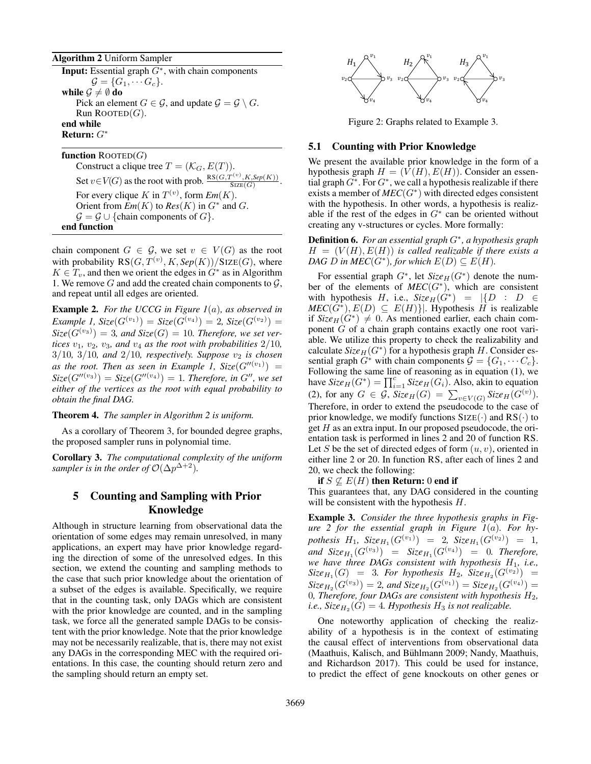Algorithm 2 Uniform Sampler

**Input:** Essential graph  $G^*$ , with chain components  $\mathcal{G} = \{G_1, \cdots G_c\}.$ while  $\mathcal{G} \neq \emptyset$  do Pick an element  $G \in \mathcal{G}$ , and update  $\mathcal{G} = \mathcal{G} \setminus G$ . Run ROOTED $(G)$ . end while Return: G<sup>∗</sup>

function  $\text{ROOFED}(G)$ Construct a clique tree  $T = (\mathcal{K}_G, E(T))$ . Set  $v \in V(G)$  as the root with prob.  $\frac{RS(G, T^{(v)}, K, Sep(K))}{S(TF(G))}$  $\frac{S(X, A, \text{sep}(K))}{SIZE(G)}$ . For every clique K in  $T^{(v)}$ , form  $Em(K)$ . Orient from  $\mathcal{E}m(K)$  to  $\mathcal{R}es(K)$  in  $G^*$  and  $G$ .  $\mathcal{G} = \mathcal{G} \cup \{$ chain components of  $G\}.$ end function

chain component  $G \in \mathcal{G}$ , we set  $v \in V(G)$  as the root with probability  $RS(G, T^{(v)}, K, Sep(K))/SIZE(G)$ , where  $K \in T_v$ , and then we orient the edges in  $G^*$  as in Algorithm 1. We remove  $G$  and add the created chain components to  $\mathcal{G}$ , and repeat until all edges are oriented.

Example 2. *For the UCCG in Figure 1*(a)*, as observed in*  $Example 1, \, \text{Size}(G^{(v_1)}) = \text{Size}(G^{(v_4)}) = 2, \, \text{Size}(G^{(v_2)}) = 1$  $Size(G^{(v_3)}) = 3$ , and  $Size(G) = 10$ . Therefore, we set ver*tices*  $v_1$ *,*  $v_2$ *,*  $v_3$ *, and*  $v_4$  *as the root with probabilities*  $2/10$ *,*  $3/10$ ,  $3/10$ , and  $2/10$ , respectively. Suppose  $v_2$  is chosen as the root. Then as seen in Example 1,  $Size(G''(v_1)) =$  $Size(G''^{(v_3)}) = Size(G''^{(v_4)}) = 1$ . Therefore, in G'', we set *either of the vertices as the root with equal probability to obtain the final DAG.*

Theorem 4. *The sampler in Algorithm 2 is uniform.*

As a corollary of Theorem 3, for bounded degree graphs, the proposed sampler runs in polynomial time.

Corollary 3. *The computational complexity of the uniform sampler is in the order of*  $\mathcal{O}(\Delta p^{\Delta+2})$ *.* 

# 5 Counting and Sampling with Prior Knowledge

Although in structure learning from observational data the orientation of some edges may remain unresolved, in many applications, an expert may have prior knowledge regarding the direction of some of the unresolved edges. In this section, we extend the counting and sampling methods to the case that such prior knowledge about the orientation of a subset of the edges is available. Specifically, we require that in the counting task, only DAGs which are consistent with the prior knowledge are counted, and in the sampling task, we force all the generated sample DAGs to be consistent with the prior knowledge. Note that the prior knowledge may not be necessarily realizable, that is, there may not exist any DAGs in the corresponding MEC with the required orientations. In this case, the counting should return zero and **Example 2** For the PCCC in Figure 16), as determined by the sample in the sample should return and the sample should return and the sample should return and the sample should be the sample of the sample should be the sam



Figure 2: Graphs related to Example 3.

#### 5.1 Counting with Prior Knowledge

We present the available prior knowledge in the form of a hypothesis graph  $H = (V(H), E(H))$ . Consider an essential graph  $G^*$ . For  $G^*$ , we call a hypothesis realizable if there exists a member of  $MEC(G^*)$  with directed edges consistent with the hypothesis. In other words, a hypothesis is realizable if the rest of the edges in  $G^*$  can be oriented without creating any v-structures or cycles. More formally:

Definition 6. *For an essential graph* G<sup>∗</sup> *, a hypothesis graph*  $H = (V(H), E(H))$  *is called realizable if there exists a DAG*  $D$  *in MEC*( $G^*$ ), for which  $E(D) \subseteq E(H)$ .

For essential graph  $G^*$ , let  $Size_H(G^*)$  denote the number of the elements of  $MEC(G^*)$ , which are consistent with hypothesis H, i.e.,  $Size_H(G^*) = |\{D : D \in$  $MEC(G^*), E(D) \subseteq E(H)$ . Hypothesis H is realizable if  $Size_H(G^*) \neq 0$ . As mentioned earlier, each chain component G of a chain graph contains exactly one root variable. We utilize this property to check the realizability and calculate  $Size_H(G^*)$  for a hypothesis graph  $H$ . Consider essential graph  $G^*$  with chain components  $\mathcal{G} = \{G_1, \cdots C_c\}.$ Following the same line of reasoning as in equation (1), we have  $Size_H(G^*) = \prod_{i=1}^{c} Size_H(G_i)$ . Also, akin to equation (2), for any  $G \in \mathcal{G}$ ,  $Size_H(G) = \sum_{v \in V(G)} Size_H(G^{(v)})$ . Therefore, in order to extend the pseudocode to the case of prior knowledge, we modify functions  $SIZE(\cdot)$  and  $RS(\cdot)$  to get  $H$  as an extra input. In our proposed pseudocode, the orientation task is performed in lines 2 and 20 of function RS. Let S be the set of directed edges of form  $(u, v)$ , oriented in either line 2 or 20. In function RS, after each of lines 2 and 20, we check the following:

if  $S \nsubseteq E(H)$  then Return: 0 end if

This guarantees that, any DAG considered in the counting will be consistent with the hypothesis  $H$ .

Example 3. *Consider the three hypothesis graphs in Figure 2 for the essential graph in Figure 1*(a)*. For hy-* $\textit{pothesis} \ \ H_1, \ \ \textit{Size}_{H_1}(G^{(v_1)}) \ \ = \ \ 2, \ \ \textit{Size}_{H_1}(G^{(v_2)}) \ \ = \ \ 1,$  $and \ \ \mathsf{Size}_{H_1}(G^{(v_3)}) = \ \mathsf{Size}_{H_1}(G^{(v_4)}) = 0.$  Therefore, *we have three DAGs consistent with hypothesis* H1*, i.e.,*  $Size_{H_1}(G) = 3$ . For hypothesis  $H_2$ ,  $Size_{H_2}(G^{(v_2)}) =$  $Size_{H_2}(G^{(v_3)}) = 2$ , and  $Size_{H_2}(G^{(v_1)}) = Size_{H_2}(G^{(v_4)}) =$ 0*, Therefore, four DAGs are consistent with hypothesis*  $H_2$ , *i.e.,*  $Size_{H_2}(G) = 4$ *. Hypothesis*  $H_3$  *is not realizable.* 

One noteworthy application of checking the realizability of a hypothesis is in the context of estimating the causal effect of interventions from observational data (Maathuis, Kalisch, and Bühlmann 2009; Nandy, Maathuis, and Richardson 2017). This could be used for instance, to predict the effect of gene knockouts on other genes or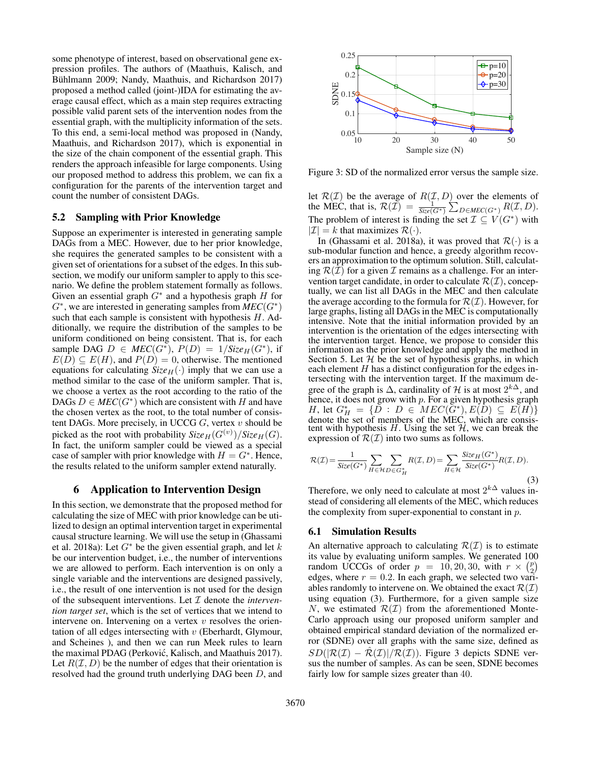some phenotype of interest, based on observational gene expression profiles. The authors of (Maathuis, Kalisch, and Bühlmann 2009; Nandy, Maathuis, and Richardson 2017) proposed a method called (joint-)IDA for estimating the average causal effect, which as a main step requires extracting possible valid parent sets of the intervention nodes from the essential graph, with the multiplicity information of the sets. To this end, a semi-local method was proposed in (Nandy, Maathuis, and Richardson 2017), which is exponential in the size of the chain component of the essential graph. This renders the approach infeasible for large components. Using our proposed method to address this problem, we can fix a configuration for the parents of the intervention target and count the number of consistent DAGs.

## 5.2 Sampling with Prior Knowledge

Suppose an experimenter is interested in generating sample DAGs from a MEC. However, due to her prior knowledge, she requires the generated samples to be consistent with a given set of orientations for a subset of the edges. In this subsection, we modify our uniform sampler to apply to this scenario. We define the problem statement formally as follows. Given an essential graph  $G^*$  and a hypothesis graph  $H$  for  $G^*$ , we are interested in generating samples from  $MEC(G^*)$ such that each sample is consistent with hypothesis  $H$ . Additionally, we require the distribution of the samples to be uniform conditioned on being consistent. That is, for each sample DAG  $D \in MEC(G^*)$ ,  $P(D) = 1/Size_H(G^*)$ , if  $E(D) \subseteq E(H)$ , and  $P(D) = 0$ , otherwise. The mentioned equations for calculating  $Size_H(\cdot)$  imply that we can use a method similar to the case of the uniform sampler. That is, we choose a vertex as the root according to the ratio of the DAGs  $D \in MEC(G^*)$  which are consistent with H and have the chosen vertex as the root, to the total number of consistent DAGs. More precisely, in UCCG  $G$ , vertex  $v$  should be picked as the root with probability  $Size_H(G^{(v)})/Size_H(G)$ . In fact, the uniform sampler could be viewed as a special case of sampler with prior knowledge with  $H = G^*$ . Hence, the results related to the uniform sampler extend naturally.

# 6 Application to Intervention Design

In this section, we demonstrate that the proposed method for calculating the size of MEC with prior knowledge can be utilized to design an optimal intervention target in experimental causal structure learning. We will use the setup in (Ghassami et al. 2018a): Let  $G^*$  be the given essential graph, and let k be our intervention budget, i.e., the number of interventions we are allowed to perform. Each intervention is on only a single variable and the interventions are designed passively, i.e., the result of one intervention is not used for the design of the subsequent interventions. Let I denote the *intervention target set*, which is the set of vertices that we intend to intervene on. Intervening on a vertex  $v$  resolves the orientation of all edges intersecting with  $v$  (Eberhardt, Glymour, and Scheines ), and then we can run Meek rules to learn the maximal PDAG (Perković, Kalisch, and Maathuis 2017). Let  $R(\mathcal{I}, D)$  be the number of edges that their orientation is resolved had the ground truth underlying DAG been D, and



Figure 3: SD of the normalized error versus the sample size.

let  $\mathcal{R}(\mathcal{I})$  be the average of  $R(\mathcal{I}, D)$  over the elements of the MEC, that is,  $\mathcal{R}(\mathcal{I}) = \frac{1}{\text{Size}(G^*)} \sum_{D \in MEC(G^*)} R(\mathcal{I}, D)$ . The problem of interest is finding the set  $\mathcal{I} \subseteq V(G^*)$  with  $|\mathcal{I}| = k$  that maximizes  $\mathcal{R}(\cdot)$ .

In (Ghassami et al. 2018a), it was proved that  $\mathcal{R}(\cdot)$  is a sub-modular function and hence, a greedy algorithm recovers an approximation to the optimum solution. Still, calculating  $\mathcal{R}(\mathcal{I})$  for a given  $\mathcal I$  remains as a challenge. For an intervention target candidate, in order to calculate  $\mathcal{R}(\mathcal{I})$ , conceptually, we can list all DAGs in the MEC and then calculate the average according to the formula for  $\mathcal{R}(\mathcal{I})$ . However, for large graphs, listing all DAGs in the MEC is computationally intensive. Note that the initial information provided by an intervention is the orientation of the edges intersecting with the intervention target. Hence, we propose to consider this information as the prior knowledge and apply the method in Section 5. Let  $H$  be the set of hypothesis graphs, in which each element  $H$  has a distinct configuration for the edges intersecting with the intervention target. If the maximum degree of the graph is  $\Delta$ , cardinality of H is at most  $2^{k\Delta}$ , and hence, it does not grow with  $p$ . For a given hypothesis graph H, let  $G_H^* = \{ \tilde{D} : D \in MEC(\tilde{G}^*), E(\tilde{D}) \subseteq E(H) \}$ denote the set of members of the MEC, which are consistent with hypothesis H. Using the set  $H$ , we can break the expression of  $\mathcal{R}(\mathcal{I})$  into two sums as follows.

$$
\mathcal{R}(\mathcal{I}) = \frac{1}{\operatorname{Size}(G^*)} \sum_{H \in \mathcal{H}} \sum_{D \in G_H^*} R(\mathcal{I}, D) = \sum_{H \in \mathcal{H}} \frac{\operatorname{Size}_H(G^*)}{\operatorname{Size}(G^*)} R(\mathcal{I}, D). \tag{3}
$$

Therefore, we only need to calculate at most  $2^{k\Delta}$  values instead of considering all elements of the MEC, which reduces the complexity from super-exponential to constant in p.

#### 6.1 Simulation Results

An alternative approach to calculating  $\mathcal{R}(\mathcal{I})$  is to estimate its value by evaluating uniform samples. We generated 100 random UCCGs of order  $p = 10, 20, 30$ , with  $r \times \binom{p}{2}$ edges, where  $r = 0.2$ . In each graph, we selected two variables randomly to intervene on. We obtained the exact  $\mathcal{R}(\mathcal{I})$ using equation (3). Furthermore, for a given sample size N, we estimated  $\mathcal{R}(\mathcal{I})$  from the aforementioned Monte-Carlo approach using our proposed uniform sampler and obtained empirical standard deviation of the normalized error (SDNE) over all graphs with the same size, defined as  $SD(|\mathcal{R}(\mathcal{I}) - \hat{\mathcal{R}}(\mathcal{I})| / \mathcal{R}(\mathcal{I})$ . Figure 3 depicts SDNE versus the number of samples. As can be seen, SDNE becomes fairly low for sample sizes greater than 40.